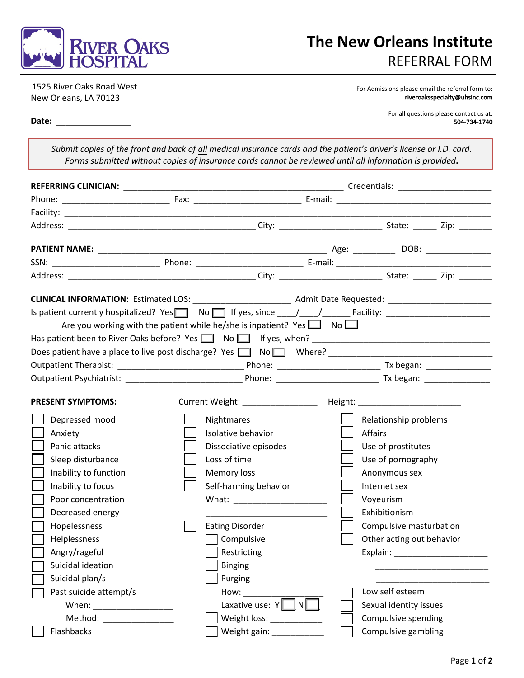

1525 River Oaks Road West New Orleans, LA 70123

For Admissions please email the referral form to: [riveroaksspecialty@uhsinc.com](mailto:riveroaksspecialty@uhsinc.com)

**Date:** \_\_\_\_\_\_\_\_\_\_\_\_\_\_\_\_

For all questions please contact us at: 504-734-1740

*Submit copies of the front and back of all medical insurance cards and the patient's driver's license or I.D. card. Forms submitted without copies of insurance cards cannot be reviewed until all information is provided***.** 

| Is patient currently hospitalized? Yes $\Box$ No $\Box$ If yes, since $\Box/$ $\Box$ Facility: $\Box$                                                                                                                          |                                                                                           |                                                                                                                                                                                                                               |                      |                                                                                                                                                                                                                                |  |
|--------------------------------------------------------------------------------------------------------------------------------------------------------------------------------------------------------------------------------|-------------------------------------------------------------------------------------------|-------------------------------------------------------------------------------------------------------------------------------------------------------------------------------------------------------------------------------|----------------------|--------------------------------------------------------------------------------------------------------------------------------------------------------------------------------------------------------------------------------|--|
|                                                                                                                                                                                                                                | Are you working with the patient while he/she is inpatient? Yes $\Box$ No $\Box$          |                                                                                                                                                                                                                               |                      |                                                                                                                                                                                                                                |  |
| Has patient been to River Oaks before? Yes \Res \Rightarrow No \Rightarrow If yes, when? \Rightarrow \Rightarrow \Rightarrow No \Rightarrow If yes, when? \Rightarrow \Rightarrow \Rightarrow \Rightarrow \Rightarrow \Rightar |                                                                                           |                                                                                                                                                                                                                               |                      |                                                                                                                                                                                                                                |  |
| Does patient have a place to live post discharge? Yes $\Box$ No $\Box$ Where?                                                                                                                                                  |                                                                                           |                                                                                                                                                                                                                               |                      |                                                                                                                                                                                                                                |  |
|                                                                                                                                                                                                                                |                                                                                           |                                                                                                                                                                                                                               |                      |                                                                                                                                                                                                                                |  |
|                                                                                                                                                                                                                                |                                                                                           |                                                                                                                                                                                                                               |                      |                                                                                                                                                                                                                                |  |
| <b>PRESENT SYMPTOMS:</b>                                                                                                                                                                                                       |                                                                                           | Current Weight: The Current Weight:                                                                                                                                                                                           |                      | Height: National Property of the Contract of the Contract of the Contract of the Contract of the Contract of the Contract of the Contract of the Contract of the Contract of the Contract of the Contract of the Contract of t |  |
| Depressed mood<br>Anxiety<br>Panic attacks<br>Sleep disturbance<br>Inability to function<br>Inability to focus<br>Poor concentration<br>Decreased energy<br>Hopelessness<br>Helplessness<br>Angry/rageful                      | Nightmares<br>Isolative behavior<br>Loss of time<br>Memory loss<br><b>Eating Disorder</b> | Dissociative episodes<br>Self-harming behavior<br>What: $\qquad \qquad$<br>Compulsive<br>Restricting                                                                                                                          | Affairs<br>Voyeurism | Relationship problems<br>Use of prostitutes<br>Use of pornography<br>Anonymous sex<br>Internet sex<br>Exhibitionism<br>Compulsive masturbation<br>Other acting out behavior                                                    |  |
| Suicidal ideation                                                                                                                                                                                                              |                                                                                           | <b>Binging</b>                                                                                                                                                                                                                |                      |                                                                                                                                                                                                                                |  |
| Suicidal plan/s<br>Past suicide attempt/s                                                                                                                                                                                      |                                                                                           | Purging                                                                                                                                                                                                                       |                      |                                                                                                                                                                                                                                |  |
|                                                                                                                                                                                                                                |                                                                                           | How:                                                                                                                                                                                                                          |                      | Low self esteem                                                                                                                                                                                                                |  |
|                                                                                                                                                                                                                                |                                                                                           | Laxative use: $Y \cap N$                                                                                                                                                                                                      |                      | Sexual identity issues<br>Compulsive spending                                                                                                                                                                                  |  |
|                                                                                                                                                                                                                                |                                                                                           | Weight loss: _____________                                                                                                                                                                                                    |                      |                                                                                                                                                                                                                                |  |
| Flashbacks                                                                                                                                                                                                                     |                                                                                           | Weight gain: University of the University of the University of the University of the University of the University of the University of the University of the University of the University of the University of the University |                      | Compulsive gambling                                                                                                                                                                                                            |  |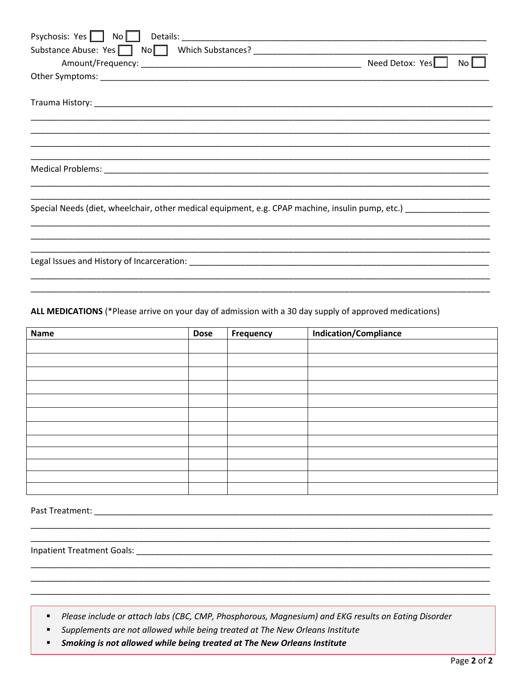| Substance Abuse: Yes No No Which Substances? ___________________________________                 |                 |     |
|--------------------------------------------------------------------------------------------------|-----------------|-----|
|                                                                                                  | Need Detox: Yes | No. |
|                                                                                                  |                 |     |
|                                                                                                  |                 |     |
|                                                                                                  |                 |     |
|                                                                                                  |                 |     |
|                                                                                                  |                 |     |
|                                                                                                  |                 |     |
| Special Needs (diet, wheelchair, other medical equipment, e.g. CPAP machine, insulin pump, etc.) |                 |     |
|                                                                                                  |                 |     |
|                                                                                                  |                 |     |
| Legal Issues and History of Incarceration: Legal Issues and History of Incarceration:            |                 |     |
|                                                                                                  |                 |     |

ALL MEDICATIONS (\*Please arrive on your day of admission with a 30 day supply of approved medications)

| <b>Name</b> | <b>Dose</b> | <b>Frequency</b> | <b>Indication/Compliance</b> |
|-------------|-------------|------------------|------------------------------|
|             |             |                  |                              |
|             |             |                  |                              |
|             |             |                  |                              |
|             |             |                  |                              |
|             |             |                  |                              |
|             |             |                  |                              |
|             |             |                  |                              |
|             |             |                  |                              |
|             |             |                  |                              |
|             |             |                  |                              |
|             |             |                  |                              |
|             |             |                  |                              |

- Please include or attach labs (CBC, CMP, Phosphorous, Magnesium) and EKG results on Eating Disorder
- Supplements are not allowed while being treated at The New Orleans Institute  $\blacksquare$
- Smoking is not allowed while being treated at The New Orleans Institute  $\blacksquare$